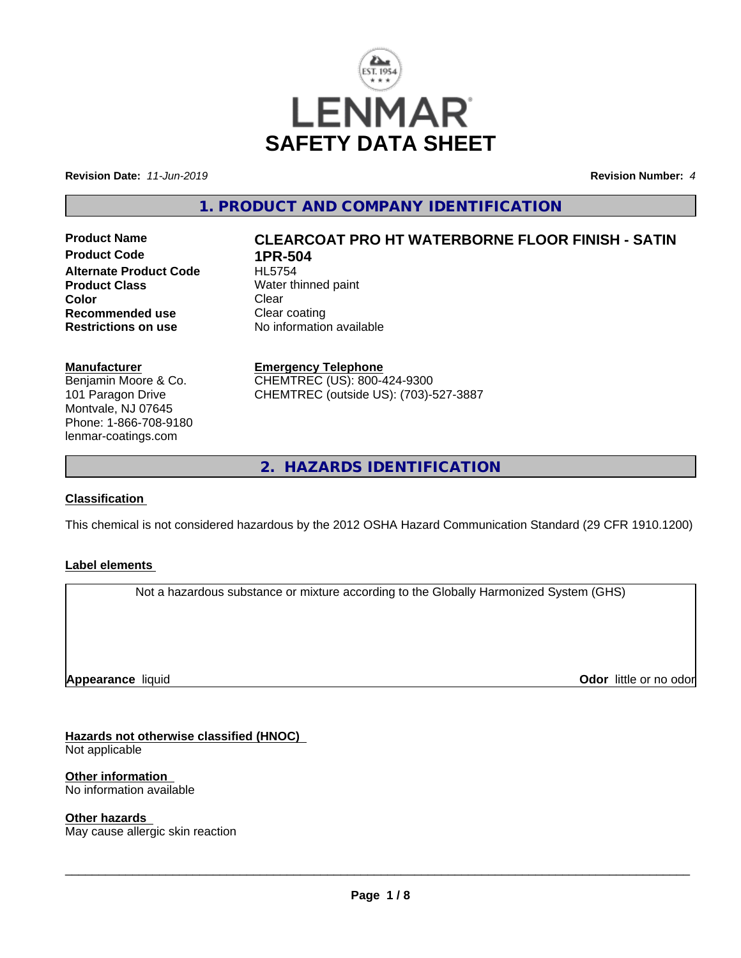

**Revision Date:** *11-Jun-2019* **Revision Number:** *4*

**1. PRODUCT AND COMPANY IDENTIFICATION**

**Product Code 1PR-504**<br>Alternate Product Code HL5754 **Alternate Product Code Product Class**<br>
Color
Color
Color
Clear
Clear
Clear
Clear
Clear
Clear
Clear
Clear
Clear
Clear
Clear
Clear
Clear
Clear
Clear
Clear
Clear
Clear
Clear
Clear
Clear
Clear
Clear
Clear
Clear
Clear
Clear
Clear
Clear
Clear
Clear
C **Color** Clear Clear **Recommended use Clear coating<br>
<b>Restrictions on use** No information

# **Product Name CLEARCOAT PRO HT WATERBORNE FLOOR FINISH - SATIN**

**No information available** 

**Manufacturer**

Benjamin Moore & Co. 101 Paragon Drive Montvale, NJ 07645 Phone: 1-866-708-9180 lenmar-coatings.com

# **Emergency Telephone**

CHEMTREC (US): 800-424-9300 CHEMTREC (outside US): (703)-527-3887

**2. HAZARDS IDENTIFICATION**

# **Classification**

This chemical is not considered hazardous by the 2012 OSHA Hazard Communication Standard (29 CFR 1910.1200)

# **Label elements**

Not a hazardous substance or mixture according to the Globally Harmonized System (GHS)

**Appearance** liquid

**Odor** little or no odor

# **Hazards not otherwise classified (HNOC)**

Not applicable

#### **Other information**

No information available

#### **Other hazards**

May cause allergic skin reaction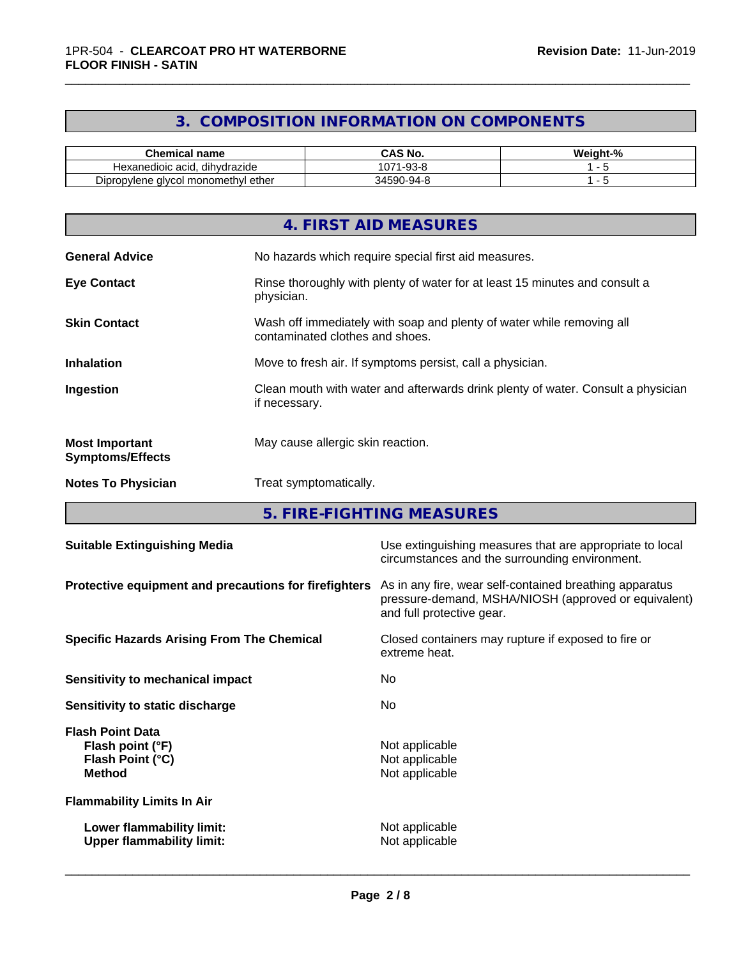# **3. COMPOSITION INFORMATION ON COMPONENTS**

\_\_\_\_\_\_\_\_\_\_\_\_\_\_\_\_\_\_\_\_\_\_\_\_\_\_\_\_\_\_\_\_\_\_\_\_\_\_\_\_\_\_\_\_\_\_\_\_\_\_\_\_\_\_\_\_\_\_\_\_\_\_\_\_\_\_\_\_\_\_\_\_\_\_\_\_\_\_\_\_\_\_\_\_\_\_\_\_\_\_\_\_\_

| ^'<br><b>Chemical name</b>                    | `S No.<br>r۸<br>האט                      | <br>.veight-°<br>- 70 |
|-----------------------------------------------|------------------------------------------|-----------------------|
| <br>dihydrazide<br>Hexanedioic acid.          | $\sim$<br>റററ<br>. - ສພ<br>- - - -<br>U/ |                       |
| I monomethvl ether<br>alvcol :<br>Dipropylene | ገ-ባ4-ዖ<br>3715 J                         |                       |

|                                                  | 4. FIRST AID MEASURES                                                                                    |
|--------------------------------------------------|----------------------------------------------------------------------------------------------------------|
| <b>General Advice</b>                            | No hazards which require special first aid measures.                                                     |
| <b>Eye Contact</b>                               | Rinse thoroughly with plenty of water for at least 15 minutes and consult a<br>physician.                |
| <b>Skin Contact</b>                              | Wash off immediately with soap and plenty of water while removing all<br>contaminated clothes and shoes. |
| <b>Inhalation</b>                                | Move to fresh air. If symptoms persist, call a physician.                                                |
| Ingestion                                        | Clean mouth with water and afterwards drink plenty of water. Consult a physician<br>if necessary.        |
| <b>Most Important</b><br><b>Symptoms/Effects</b> | May cause allergic skin reaction.                                                                        |
| <b>Notes To Physician</b>                        | Treat symptomatically.                                                                                   |

**5. FIRE-FIGHTING MEASURES**

| <b>Suitable Extinguishing Media</b>                                              | Use extinguishing measures that are appropriate to local<br>circumstances and the surrounding environment.                                   |
|----------------------------------------------------------------------------------|----------------------------------------------------------------------------------------------------------------------------------------------|
| Protective equipment and precautions for firefighters                            | As in any fire, wear self-contained breathing apparatus<br>pressure-demand, MSHA/NIOSH (approved or equivalent)<br>and full protective gear. |
| <b>Specific Hazards Arising From The Chemical</b>                                | Closed containers may rupture if exposed to fire or<br>extreme heat.                                                                         |
| Sensitivity to mechanical impact                                                 | No.                                                                                                                                          |
| Sensitivity to static discharge                                                  | No.                                                                                                                                          |
| <b>Flash Point Data</b><br>Flash point (°F)<br>Flash Point (°C)<br><b>Method</b> | Not applicable<br>Not applicable<br>Not applicable                                                                                           |
| <b>Flammability Limits In Air</b>                                                |                                                                                                                                              |
| Lower flammability limit:<br><b>Upper flammability limit:</b>                    | Not applicable<br>Not applicable                                                                                                             |
|                                                                                  |                                                                                                                                              |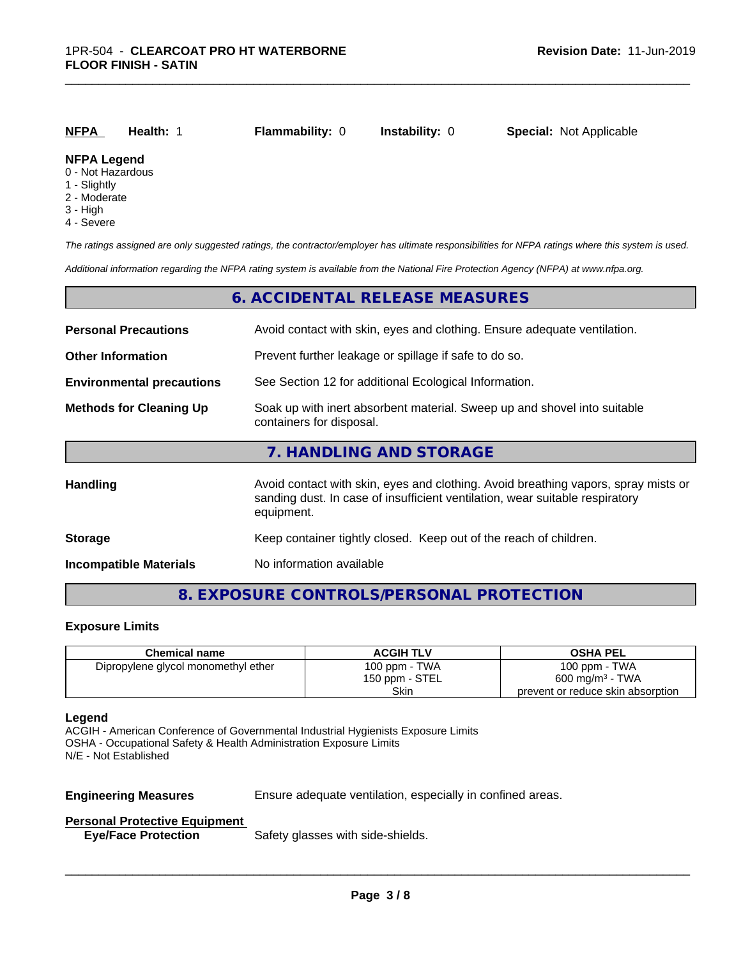| NFPA                                                        | Health: | <b>Flammability: 0</b> | <b>Instability: 0</b> | <b>Special: Not Applicable</b> |  |
|-------------------------------------------------------------|---------|------------------------|-----------------------|--------------------------------|--|
| <b>NFPA Legend</b><br>$\bigcap$ . A let if it is exploited. |         |                        |                       |                                |  |

\_\_\_\_\_\_\_\_\_\_\_\_\_\_\_\_\_\_\_\_\_\_\_\_\_\_\_\_\_\_\_\_\_\_\_\_\_\_\_\_\_\_\_\_\_\_\_\_\_\_\_\_\_\_\_\_\_\_\_\_\_\_\_\_\_\_\_\_\_\_\_\_\_\_\_\_\_\_\_\_\_\_\_\_\_\_\_\_\_\_\_\_\_

#### 0 - Not Hazardous

- 1 Slightly
- 2 Moderate
- 3 High
- 4 Severe

*The ratings assigned are only suggested ratings, the contractor/employer has ultimate responsibilities for NFPA ratings where this system is used.*

*Additional information regarding the NFPA rating system is available from the National Fire Protection Agency (NFPA) at www.nfpa.org.*

|                                  | 6. ACCIDENTAL RELEASE MEASURES                                                                                                                                                   |
|----------------------------------|----------------------------------------------------------------------------------------------------------------------------------------------------------------------------------|
| <b>Personal Precautions</b>      | Avoid contact with skin, eyes and clothing. Ensure adequate ventilation.                                                                                                         |
| <b>Other Information</b>         | Prevent further leakage or spillage if safe to do so.                                                                                                                            |
| <b>Environmental precautions</b> | See Section 12 for additional Ecological Information.                                                                                                                            |
| <b>Methods for Cleaning Up</b>   | Soak up with inert absorbent material. Sweep up and shovel into suitable<br>containers for disposal.                                                                             |
|                                  | 7. HANDLING AND STORAGE                                                                                                                                                          |
| Handling                         | Avoid contact with skin, eyes and clothing. Avoid breathing vapors, spray mists or<br>sanding dust. In case of insufficient ventilation, wear suitable respiratory<br>equipment. |
| <b>Storage</b>                   | Keep container tightly closed. Keep out of the reach of children.                                                                                                                |
| <b>Incompatible Materials</b>    | No information available                                                                                                                                                         |

# **8. EXPOSURE CONTROLS/PERSONAL PROTECTION**

#### **Exposure Limits**

| <b>Chemical name</b>                | <b>ACGIH TLV</b> | <b>OSHA PEL</b>                   |
|-------------------------------------|------------------|-----------------------------------|
| Dipropylene glycol monomethyl ether | 100 ppm - TWA    | 100 ppm - TWA                     |
|                                     | 150 ppm - STEL   | $600 \text{ mg/m}^3$ - TWA        |
|                                     | Skin             | prevent or reduce skin absorption |

#### **Legend**

ACGIH - American Conference of Governmental Industrial Hygienists Exposure Limits OSHA - Occupational Safety & Health Administration Exposure Limits N/E - Not Established

**Engineering Measures** Ensure adequate ventilation, especially in confined areas.

 $\overline{\phantom{a}}$  ,  $\overline{\phantom{a}}$  ,  $\overline{\phantom{a}}$  ,  $\overline{\phantom{a}}$  ,  $\overline{\phantom{a}}$  ,  $\overline{\phantom{a}}$  ,  $\overline{\phantom{a}}$  ,  $\overline{\phantom{a}}$  ,  $\overline{\phantom{a}}$  ,  $\overline{\phantom{a}}$  ,  $\overline{\phantom{a}}$  ,  $\overline{\phantom{a}}$  ,  $\overline{\phantom{a}}$  ,  $\overline{\phantom{a}}$  ,  $\overline{\phantom{a}}$  ,  $\overline{\phantom{a}}$ 

### **Personal Protective Equipment**

**Eye/Face Protection** Safety glasses with side-shields.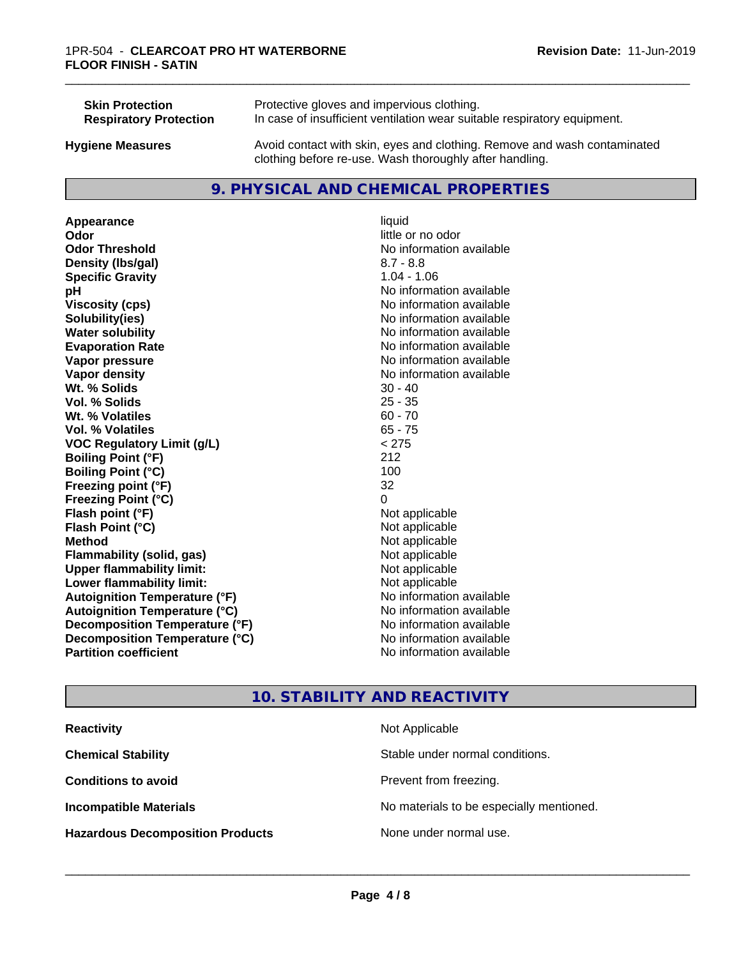| <b>Skin Protection</b>        | Protective gloves and impervious clothing.                                                                                          |
|-------------------------------|-------------------------------------------------------------------------------------------------------------------------------------|
| <b>Respiratory Protection</b> | In case of insufficient ventilation wear suitable respiratory equipment.                                                            |
| <b>Hygiene Measures</b>       | Avoid contact with skin, eyes and clothing. Remove and wash contaminated<br>clothing before re-use. Wash thoroughly after handling. |

# **9. PHYSICAL AND CHEMICAL PROPERTIES**

**Appearance** liquid **Odor** little or no odor **Odor Threshold** No information available **Density (lbs/gal)** 8.7 - 8.8 **Specific Gravity** 1.04 - 1.06 **pH pH**  $\blacksquare$ **Viscosity (cps)** No information available<br> **Solubility (ies)** No information available<br>
No information available **Water solubility** No information available **Evaporation Rate No information available No information available Vapor pressure** No information available **No information available Vapor density** No information available **Wt. % Solids** 30 - 40<br> **Vol. % Solids** 25 - 35 **Vol. % Solids Wt.** % Volatiles 60 - 70 **Vol. % Volatiles** 65 - 75 **VOC Regulatory Limit (g/L)** < 275 **Boiling Point (°F)** 212 **Boiling Point**  $(°C)$  100 **Freezing point (°F)** 32 **Freezing Point (°C)** 0 **Flash point (°F)** Not applicable **Flash Point (°C)** Not applicable **Method** Not applicable<br> **Flammability (solid, gas)** Not applicable Not applicable **Flammability** (solid, gas) **Upper flammability limit:**<br> **Lower flammability limit:** Not applicable Not applicable **Lower flammability limit:**<br> **Autoignition Temperature (°F)** Not applicable havailable **Autoignition Temperature (°F) Autoignition Temperature (°C)** No information available **Decomposition Temperature (°F)** No information available **Decomposition Temperature (°C)**<br> **Partition coefficient**<br> **Partition coefficient**<br> **No** information available

**Solubility(ies)** No information available **No information available** 

\_\_\_\_\_\_\_\_\_\_\_\_\_\_\_\_\_\_\_\_\_\_\_\_\_\_\_\_\_\_\_\_\_\_\_\_\_\_\_\_\_\_\_\_\_\_\_\_\_\_\_\_\_\_\_\_\_\_\_\_\_\_\_\_\_\_\_\_\_\_\_\_\_\_\_\_\_\_\_\_\_\_\_\_\_\_\_\_\_\_\_\_\_

# **10. STABILITY AND REACTIVITY**

| <b>Reactivity</b>                       | Not Applicable                           |
|-----------------------------------------|------------------------------------------|
| <b>Chemical Stability</b>               | Stable under normal conditions.          |
| <b>Conditions to avoid</b>              | Prevent from freezing.                   |
| <b>Incompatible Materials</b>           | No materials to be especially mentioned. |
| <b>Hazardous Decomposition Products</b> | None under normal use.                   |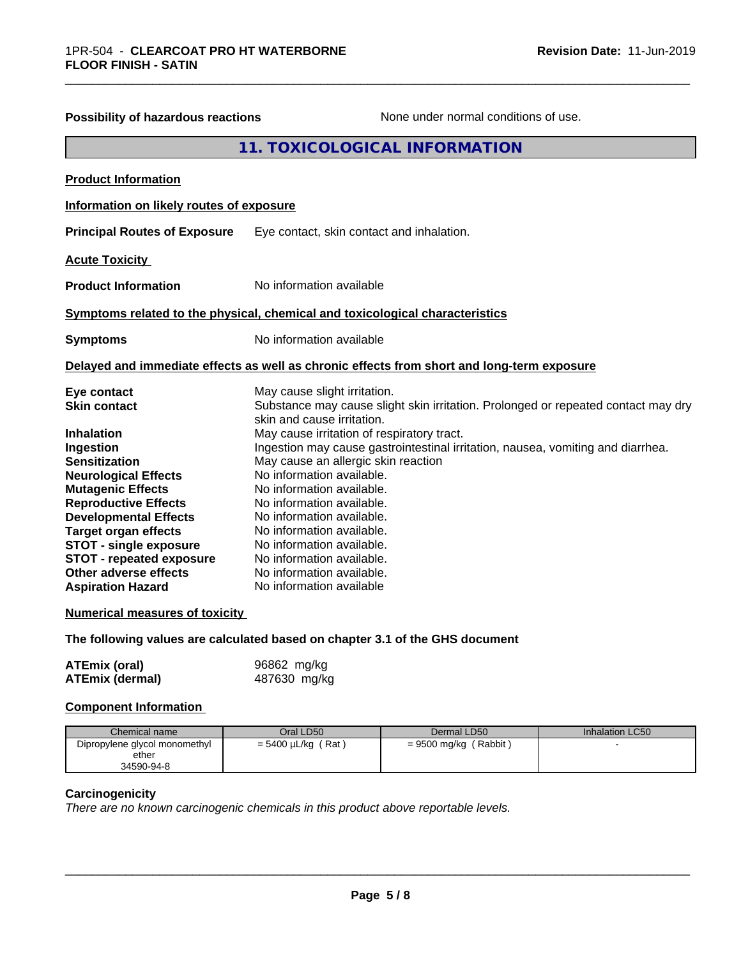| <b>Possibility of hazardous reactions</b>                                                                                                                                                                                                                                                                                                                                      | None under normal conditions of use.                                                                                                                                                                                                                                                                                                                                                                                                                                                                                                                                                        |
|--------------------------------------------------------------------------------------------------------------------------------------------------------------------------------------------------------------------------------------------------------------------------------------------------------------------------------------------------------------------------------|---------------------------------------------------------------------------------------------------------------------------------------------------------------------------------------------------------------------------------------------------------------------------------------------------------------------------------------------------------------------------------------------------------------------------------------------------------------------------------------------------------------------------------------------------------------------------------------------|
|                                                                                                                                                                                                                                                                                                                                                                                | 11. TOXICOLOGICAL INFORMATION                                                                                                                                                                                                                                                                                                                                                                                                                                                                                                                                                               |
| <b>Product Information</b>                                                                                                                                                                                                                                                                                                                                                     |                                                                                                                                                                                                                                                                                                                                                                                                                                                                                                                                                                                             |
| Information on likely routes of exposure                                                                                                                                                                                                                                                                                                                                       |                                                                                                                                                                                                                                                                                                                                                                                                                                                                                                                                                                                             |
| <b>Principal Routes of Exposure</b>                                                                                                                                                                                                                                                                                                                                            | Eye contact, skin contact and inhalation.                                                                                                                                                                                                                                                                                                                                                                                                                                                                                                                                                   |
| <b>Acute Toxicity</b>                                                                                                                                                                                                                                                                                                                                                          |                                                                                                                                                                                                                                                                                                                                                                                                                                                                                                                                                                                             |
| <b>Product Information</b>                                                                                                                                                                                                                                                                                                                                                     | No information available                                                                                                                                                                                                                                                                                                                                                                                                                                                                                                                                                                    |
|                                                                                                                                                                                                                                                                                                                                                                                | Symptoms related to the physical, chemical and toxicological characteristics                                                                                                                                                                                                                                                                                                                                                                                                                                                                                                                |
| <b>Symptoms</b>                                                                                                                                                                                                                                                                                                                                                                | No information available                                                                                                                                                                                                                                                                                                                                                                                                                                                                                                                                                                    |
|                                                                                                                                                                                                                                                                                                                                                                                | Delayed and immediate effects as well as chronic effects from short and long-term exposure                                                                                                                                                                                                                                                                                                                                                                                                                                                                                                  |
| Eye contact<br><b>Skin contact</b><br><b>Inhalation</b><br>Ingestion<br><b>Sensitization</b><br><b>Neurological Effects</b><br><b>Mutagenic Effects</b><br><b>Reproductive Effects</b><br><b>Developmental Effects</b><br><b>Target organ effects</b><br><b>STOT - single exposure</b><br><b>STOT - repeated exposure</b><br>Other adverse effects<br><b>Aspiration Hazard</b> | May cause slight irritation.<br>Substance may cause slight skin irritation. Prolonged or repeated contact may dry<br>skin and cause irritation.<br>May cause irritation of respiratory tract.<br>Ingestion may cause gastrointestinal irritation, nausea, vomiting and diarrhea.<br>May cause an allergic skin reaction<br>No information available.<br>No information available.<br>No information available.<br>No information available.<br>No information available.<br>No information available.<br>No information available.<br>No information available.<br>No information available |
| <b>Numerical measures of toxicity</b>                                                                                                                                                                                                                                                                                                                                          |                                                                                                                                                                                                                                                                                                                                                                                                                                                                                                                                                                                             |
|                                                                                                                                                                                                                                                                                                                                                                                | The following values are calculated based on chapter 3.1 of the GHS document                                                                                                                                                                                                                                                                                                                                                                                                                                                                                                                |
| <b>ATEmix (oral)</b>                                                                                                                                                                                                                                                                                                                                                           | 96862 mg/kg                                                                                                                                                                                                                                                                                                                                                                                                                                                                                                                                                                                 |

\_\_\_\_\_\_\_\_\_\_\_\_\_\_\_\_\_\_\_\_\_\_\_\_\_\_\_\_\_\_\_\_\_\_\_\_\_\_\_\_\_\_\_\_\_\_\_\_\_\_\_\_\_\_\_\_\_\_\_\_\_\_\_\_\_\_\_\_\_\_\_\_\_\_\_\_\_\_\_\_\_\_\_\_\_\_\_\_\_\_\_\_\_

**Component Information**

| Chemical name                                        | Oral LD50               | Dermal LD50             | Inhalation LC50 |
|------------------------------------------------------|-------------------------|-------------------------|-----------------|
| Dipropylene glycol monomethyl<br>ether<br>34590-94-8 | $= 5400 \mu L/kg$ (Rat) | $= 9500$ mg/kg (Rabbit) |                 |

# **Carcinogenicity**

*There are no known carcinogenic chemicals in this product above reportable levels.*

**ATEmix (dermal)** 487630 mg/kg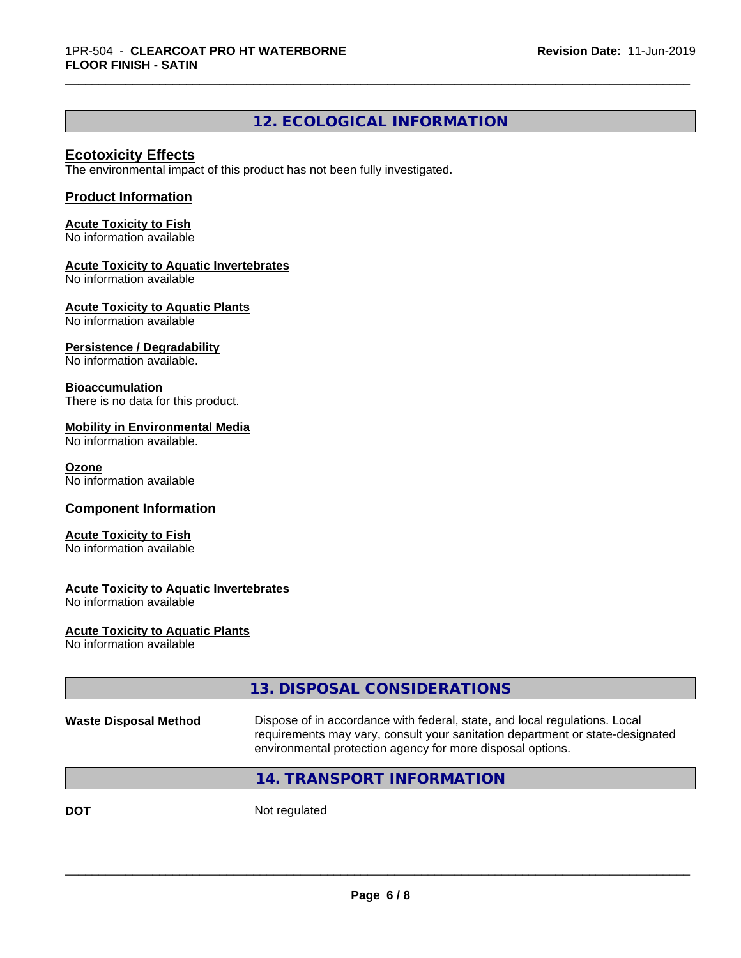# **12. ECOLOGICAL INFORMATION**

\_\_\_\_\_\_\_\_\_\_\_\_\_\_\_\_\_\_\_\_\_\_\_\_\_\_\_\_\_\_\_\_\_\_\_\_\_\_\_\_\_\_\_\_\_\_\_\_\_\_\_\_\_\_\_\_\_\_\_\_\_\_\_\_\_\_\_\_\_\_\_\_\_\_\_\_\_\_\_\_\_\_\_\_\_\_\_\_\_\_\_\_\_

# **Ecotoxicity Effects**

The environmental impact of this product has not been fully investigated.

### **Product Information**

**Acute Toxicity to Fish** No information available

# **Acute Toxicity to Aquatic Invertebrates**

No information available

**Acute Toxicity to Aquatic Plants**

No information available

#### **Persistence / Degradability**

No information available.

#### **Bioaccumulation**

There is no data for this product.

#### **Mobility in Environmental Media**

No information available.

#### **Ozone**

No information available

#### **Component Information**

#### **Acute Toxicity to Fish**

No information available

#### **Acute Toxicity to Aquatic Invertebrates**

No information available

#### **Acute Toxicity to Aquatic Plants**

No information available

|                              | 13. DISPOSAL CONSIDERATIONS                                                                                                                                                                                               |
|------------------------------|---------------------------------------------------------------------------------------------------------------------------------------------------------------------------------------------------------------------------|
| <b>Waste Disposal Method</b> | Dispose of in accordance with federal, state, and local regulations. Local<br>requirements may vary, consult your sanitation department or state-designated<br>environmental protection agency for more disposal options. |
|                              | 14. TRANSPORT INFORMATION                                                                                                                                                                                                 |
| <b>DOT</b>                   | Not regulated                                                                                                                                                                                                             |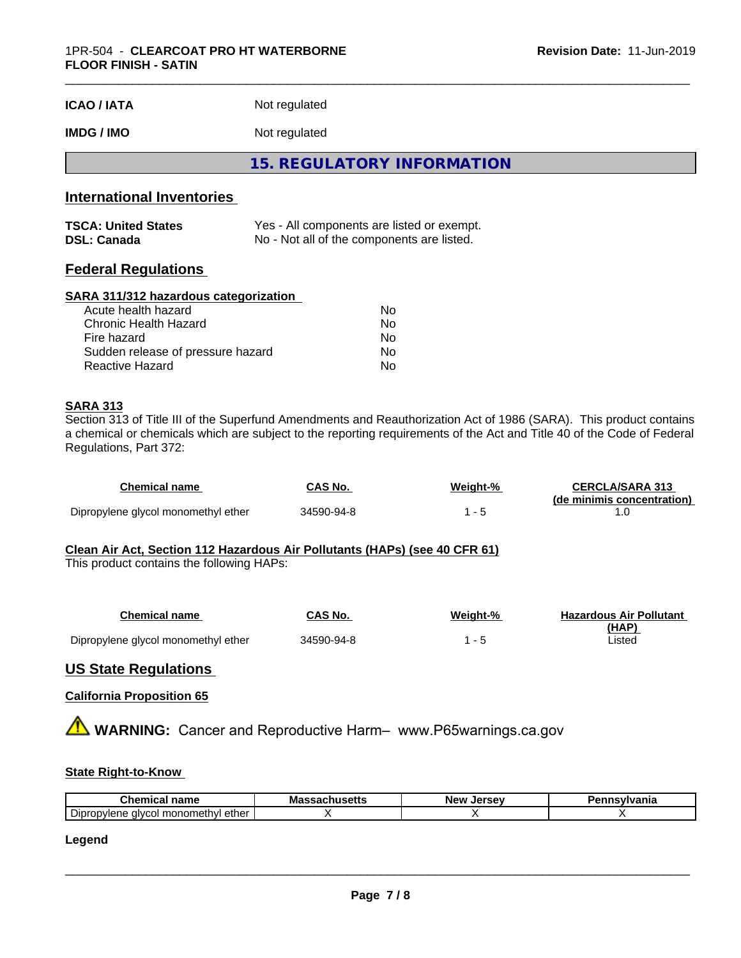| <b>ICAO / IATA</b> | Not regulated |  |
|--------------------|---------------|--|
|--------------------|---------------|--|

# **IMDG / IMO** Not regulated

**15. REGULATORY INFORMATION**

# **International Inventories**

| <b>TSCA: United States</b> | Yes - All components are listed or exempt. |
|----------------------------|--------------------------------------------|
| <b>DSL: Canada</b>         | No - Not all of the components are listed. |

# **Federal Regulations**

#### **SARA 311/312 hazardous categorization**

| Acute health hazard               | Nο |  |
|-----------------------------------|----|--|
| Chronic Health Hazard             | Nο |  |
| Fire hazard                       | Nο |  |
| Sudden release of pressure hazard | Nο |  |
| Reactive Hazard                   | Nο |  |

#### **SARA 313**

Section 313 of Title III of the Superfund Amendments and Reauthorization Act of 1986 (SARA). This product contains a chemical or chemicals which are subject to the reporting requirements of the Act and Title 40 of the Code of Federal Regulations, Part 372:

| Chemical name                       | CAS No.    | Weight-% | <b>CERCLA/SARA 313</b><br>(de minimis concentration) |
|-------------------------------------|------------|----------|------------------------------------------------------|
| Dipropylene glycol monomethyl ether | 34590-94-8 |          |                                                      |

#### **Clean Air Act,Section 112 Hazardous Air Pollutants (HAPs) (see 40 CFR 61)**

This product contains the following HAPs:

| Chemical name                       | CAS No.    | Weight-% | <b>Hazardous Air Pollutant</b> |
|-------------------------------------|------------|----------|--------------------------------|
|                                     |            |          | (HAP)                          |
| Dipropylene glycol monomethyl ether | 34590-94-8 |          | Listed                         |

# **US State Regulations**

#### **California Proposition 65**

**A WARNING:** Cancer and Reproductive Harm– www.P65warnings.ca.gov

#### **State Right-to-Know**

| Che.<br>$    -$<br>----<br>name<br>-1111<br>.                 | .<br>ма<br>. | Jersev<br><b>New</b> | $-1 - 1$<br>--<br>nı |
|---------------------------------------------------------------|--------------|----------------------|----------------------|
| $\sim$<br>ether<br>l monomethvl<br>⊃lpr<br>, alvcc<br>opviene |              |                      |                      |

#### **Legend**